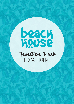# **Back**<br>Reco Function Pack LOGANHOLME

**facebook.com/BeachHouseloganholme**

functions.gc@hotelbeachhouse.com.au

facebook.com/BeachHouseGC **loganholme@beachhousebargrill.com**

 $\mathcal{N}$  facebook.com/Beach.com/Beach.com/Beach.com/Beach.com/Beach.com/Beach.com/Beach.com/Beach.com/Beach.com/Beach.com/Beach.com/Beach.com/Beach.com/Beach.com/Beach.com/Beach.com/Beach.com/Beach.com/Beach.com/Beach.com

 $\pi$  ,  $\pi$  ,  $\pi$  ,  $\pi$  ,  $\pi$  ,  $\pi$  ,  $\pi$  ,  $\pi$ 

**www.comment** 

 $\sim 0.37$  3420  $\mu$  and  $\sim 0.34$  0711 www.beach.com

 $+0.7$  3420  $-0.7$  3420  $-0.7$  3420  $-0.7$   $-0.7$   $-0.7$   $-0.7$   $-0.7$   $-0.7$   $-0.7$   $-0.7$   $-0.7$   $-0.7$   $-0.7$   $-0.7$   $-0.7$   $-0.7$   $-0.7$   $-0.7$   $-0.7$   $-0.7$   $-0.7$   $-0.7$   $-0.7$   $-0.7$   $-0.7$   $-0.7$   $-0.7$   $-0.7$   $-0$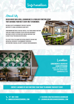## Information

# About Us

#### Beach House Bar & Grill LOGANHOLME is a fabulous function venue that can make your next event one to remember.

We would love to accommodate your next function, whether it's a small gathering or large party.

From morning meetings & cocktail parties, to set menu dinner functions, there are a range of packages to suit every need and budget. Our venue is perfect for your event and our functions team is ready to help you decide or offer advice.

Feel free to talk to us about any special requests you may have and we will do our best to accommodate your needs. OUR FUNCTIONS TEAM WILL BE HAPPY TO DISCUSS YOUR REQUIREMENTS.



#### **Conveniently located at LOGAN HYPERDOME**

**Tenancy 326, Logan Hyperdome, Pacific Hwy & Bryants Roads, Loganholme Qld, 4129**

**Contact a member of our functions team today to arrange your next event.** 

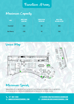## Function Areas

## Maximum Capacity







## Minimum Spends

Minimum spends apply in some circumstances but may be flexible depending on requirements and day function is held. Please ask our function team for more information on how we can cater for your special occasion.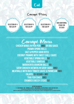

## Canapé Prices

**Selection of 4 for \$20 pp**

**Selection of 6 for \$30 pp**

**Selection of 8 for \$40 pp**

**Add additional items for \$5 each**

 $\sim$  17 3420 0711 www.beaching.com

,,,,,,,,,,,,,,,,,,,,,,,,,

Canapé Menu **Chicken Wings in Peri Peri (MG) or bbq sauce Prawn Spring Rolls Salt & Pepper Squid Bites Coconut Prawns with Sweet Chilli Sauce Vegetable Spring Rolls (v) Vegetable Samosas (v) Margherita Arancini Balls (V) Satay Chicken Skewers in Satay Sauce (MG) Meatballs with Rich Tomato Sauce & Parmesan (MG) Falafel (V+Vegan + mg) Thai Fish Cakes (MG) Crumbed Cheesy Sticks (v)**

**dietary information V - Vegetarian | MG - minimal gluten | MGO minimal gluten option - plese ask our staff At beach house we do our best to cater for people with food allergies and dietary requirements. However, we cannot guarantee an environment completely free from allergens, so traces of some ingredients may still be present in our meals.**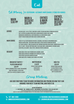

## Set Menus |**25-120 persons Alternate Drop (choose 2 items per course)**









**Entrée** Caesar salad - Cos Lettuce, Croutons, Bacon, Ceasar Dressing & Parmesan Cheese (MGo) SALT & PEPPER CALAMARI SERVED WITH LEMON WEDGES & GARLIC AIOLI SAUCE ( Margherita Arancini Balls with Mozzerella & a Rich Napoli Sauce (V) Crispy Chicken Wings with BBQ Sauce & Ranch Dressing (MG)

**MAIN COURSE** 2006 EYE FILLET WITH MASHED POTATOES, SEASONAL VEGETABLES & MUSHROOM SAUCE (MGO) Gnocchi Napolitana - Rich Napolitana Sauce & Fresh Grated Parmesan Cheese (V) Life Saver Chicken - Grilled Chicken, Half Avocado, Mustard cream Sauce, Garden Salad & Chips (MGo) Fish 'N' Chips - Freshly Battered Hake, Coleslaw, Chips, Lemon Wedge & Tartare Sauce Char Grilled Salmon - Basil Pesto, Smashed Potato & Broccoli (MG)

**DESSERT** HOME MADE STICKY DATE PUDDING WITH CARAMEL SAUCE (MG+V) Home Baked Chocolate Brownie with Chocolate Sauce (v) FRESH FRUIT SALAD WITH WHIPPED CREAM Home Made Apple Crumble with Vanilla Ice Cream (v)

**BREAKFAST BUFFET/ plated breakfast \$20 pp**

Bacon, Scrambled Eggs, Beans, Mushrooms, Toast with Museli, Fresh Fruit with Tea & Coffee & Choice of Juices

**Muffin Break \$18 pp** Freshly Baked Muffins served with Tea & Coffee

**High Tea \$25 pp** Freshly Baked Muffins & a Selection of Cakes with a Sandwich Platter WITH TEA AND COFFEE

## Group Meetings

**Ask our functions team for more information and pricing on how they can arrange your next team meeting, whether it be**

**Breakfast | Morning Tea | Lunch | Afternoon Tea | Dinner | Drinks**

**dietary information**

**V - Vegetarian | MG - minimal gluten | MGO minimal gluten option - plese ask our staff At beach house we do our best to cater for people with food allergies and dietary requirements.**

**However, we cannot guarantee an environment completely free from allergens, so traces of some ingredients may still be present in our meals.**

**+07 3801 2838** +07 3420 0711 www.beachhousebargrill.com **www.beachhousebargrill.com** +07 3420 0711 www.beachhousebargrill.com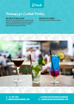Drink

# Packages for Cocktail Parties

#### **Bar Tab Set by Dollar Limit**

Bar Tab is set by Dollar Limit and is not limited by a time frame. The function holder may decide what they would like available on this type of bar tab. The functions manager can offer suggestions if needed.

**Bar Tab Set by Product** Bar Tab set by particular products selected.



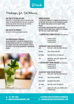## Drink

## Packages for Set Menus

#### **Bar Tab Set by Dollar Limit**

Bar Tab is set by Dollar Limit and is not limited by a time frame. The function holder may decide what they would like available on this type of bar tab. The functions manager can offer suggestions if needed.

#### **Bar Tab Set by Product**

Bar Tab set by particular products selected.

#### **Custom Beverage Packages**

We are always happy to discuss any particular type of beverage package you would like, so if you feel none of our packages exactly meet your requirements, please do not hesitate to ask the Function Manager if variations are possible.

#### **Drinks Packages**

Total cost is determined by the number of people and has a set time limit. Two options exist for this beverage package: the "Surfing" drinks package and the "Sailing" drinks package.

These packages range in price from \$33 per head for a two-hour "Surfing" drink package through to \$61 per head for a four-hour "Sailing" drink package.

#### **1. SURFING PARTY DRINK PACKAGE (WITH SET MENU ONLY)**

2 HOURS AT \$33 PP 3 HOURS AT \$44 PP 4 HOURS AT \$54 PP

#### **Surfing Party Drink Package includes:**

| WINE:              | HOUSE WHITE, HOUSE RED, HOUSE SPARKLING                                                                                      |
|--------------------|------------------------------------------------------------------------------------------------------------------------------|
| <b>TAP BEER:</b>   | <b>LOCAL TAP BEERS AND CIDER</b>                                                                                             |
| <b>SOFT DRINK:</b> | COKE, ZERO, SPRITE, LIFT, GINGER ALE                                                                                         |
| <b>JUICE:</b>      | ORANGE JUICE, APPLE JUICE, PINEAPPLE JUICE<br><b>CRANBERRY JUICE</b>                                                         |
|                    | 2. SAILING PARTY DRINK PACKAGE (WITH SET MENU ONLY)<br>2 HOURS AT \$41 PP<br>3 HOURS AT \$51 PP<br><b>4 HOURS AT \$61 PP</b> |
| WINE:              | <b>SAILING PARTY DRINK PACKAGE INCLUDES:</b><br><b>HOUSE WHITE, HOUSE RED, HOUSE SPARKLING</b>                               |

|                       | <b>TIVOUL WITH L. HOUGL HED. HOUGL OF ANIMERITY</b>                   |
|-----------------------|-----------------------------------------------------------------------|
| <b>TAP BEER:</b>      | <b>LOCAL TAP BEERS AND CIDER</b>                                      |
| <b>BASIC SPIRITS:</b> | <b>SELECTION OF BASIC SPIRITS</b>                                     |
| <b>SOFT DRINK:</b>    | COKE, ZERO, SPRITE, LIFT, GINGER ALE                                  |
| <b>JUICE:</b>         | ORANGE JUICE, APPLE JUICE, PINEAPPLE JUICE,<br><b>CRANBERRY JUICE</b> |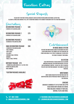# Function Extras

Special Requests

PLEASE NOTE THAT MOST SPECIAL REQUESTS CAN BE CATERED FOR INCLUDING VEGETARIAN, GLUTEN-FREE, Allergen Listings and Cooking Styles, not to mention changes in the room by agreement with the Functions Manager.

| Decorations                                                                                                                                                                          |            |
|--------------------------------------------------------------------------------------------------------------------------------------------------------------------------------------|------------|
| Decorations package 1<br><b>3 BUNCHES OF HELIUM BALLOONS</b>                                                                                                                         | <b>S40</b> |
| <b>DECORATIONS PACKAGE 2</b><br><b>6 BUNCHES OF HELIUM BALLOONS</b>                                                                                                                  | \$75       |
| <b>DECORATIONS PACKAGE 3</b><br><b>10 BUNCHES OF HELIUM BALLOONS</b>                                                                                                                 | \$100      |
| <b>XMAS DECORATIONS PACKAGE</b><br>-3 BUNCHES OF HELIUM BALLOONS<br>-TABLE RUNNERS<br>-FAIRY LIGHTS<br>-TEA LIGHTS<br>-CHRISMAS TABLE-TOPPERS<br>-RONRONS<br>-TINSEL & TABLE-TOPPERS | S90        |



-1 Number Balloons Bunch (e.g 1 & 8 for 18th) 4 bunch Helium Balloons table runners

#### **\*Custom Packages Available**





# Entertainment

**In House Music System**

We have our own in house Audio System which has over 10,000 songs Run by the Crowd DJ App. App available on iTunes and Google Play store to download to check into the venue to request your songs.

#### **AV SYSTEM**

Each function area at Beach House has television monitors available for function holders to utilise with appropriate content. Please feel free to discuss this with our functions manager. This comes at \$50 per function.

#### **WRISTBANDS**

WRIST BANDS REQUESTED FOR FUNCTIONS (BAR TAB identification) can be purchased from the venue at \$10 per function.

#### **CAKEAGE**

Cakeage is charged at \$10 Flat Rate or \$2 per head served with cream & ice cream. Price includes storage of your cake, napkins, plates and forks.

 $\sim$  07 3420  $\mu$  3420  $\mu$  3420  $\mu$  3420  $\mu$  3420  $\mu$  3420  $\mu$  3420  $\mu$  3420  $\mu$ 

**facebook.com/BeachHouseLoganHolme**  $\textrm{JSEBARGRILL}.\textrm{COM} \quad \textrm{23}\ \textrm{LOGANHOLME@BEACHHOUSEBARGRILL}.\textrm{COM}$ 

**+07 3801 2838** +07 3420 0711 www.beachhousebargrill.com **www.beachhousebargrill.com** +07 3420 0711 www.beachhousebargrill.com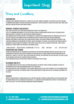Terms and Conditions

#### **Confirmation**

A booking is only confirmed upon receipt of a deposit of \$100. Final payment is required 7 days prior to the event, including the minimum spend amount. In certain exceptional circumstances, it may be necessary to assign a different area/ room, Beach House will provide sufficient notice where possible.

#### **Bookings, Payments and Deposits**

Final details are due no later than fourteen working days prior to the booking date.

100% of the minimum spend amount is to be spent on food, beverage, decoration and function extras, excluding security. Menus are subject to change at any time in line with produce availability.

Final numbers are due seven days prior to the booking date. Decreased event numbers within five working days will not be accepted. Increased event numbers within five working days must be discussed with our Functions Coordinator. Payments can be made by credit card, cash, cheque or direct deposit. Please email through a remittance statement to our Functions Coordinator for confirmation of payment. Should you require a tax invoice, please request one from our Function Coordinator. Cheque payments are required 14 days prior to event. One bill will be provided per function. A credit card is required as a security bond in the instance of any damages caused.

#### **Bank Deposit: BEAch house loganholme Pty Ltd BSB: 084-004 A/C: 90-249-3027 Decorations and Theming**

Theming and decorating must be prearranged and approved by our Functions Coordinator and must include details of any decorations not supplied by Beach House. Decorating the function space is allowed, however certain decorations are not permitted (i.e. confetti, sticky tape, table scatters and party poppers). In the instance that these are used, the client is liable for any damages caused and/or cleaning expenses associated.

Apart from birthday cakes, no other food is permitted to be brought into the venue.

#### **Belongings and Gifts**

All belongings and gifts are to be collected upon conclusion of the function. Should storage be required, this must be prearranged with our Function Coordinator prior to the function date.

Beach House does not accept responsibility for the injury, damage or loss of any client's property left in the premises prior to, during or after an event. Any damages caused to Beach House property during an event are the financial responsibility of the client.

#### **Security**

WHERE A FUNCTION REQUESTS A CROWD CONTROLLER OR A FUNCTION IS DEEMED TO REQUIRE A CROWD CONTROLLER BY OUR FUNCTIONS TEAM. the crowd controller will be organised by Beach House. All associated costs incurred must be paid by the function holder prior to the event. Talk to our Functions Coordinator for more information.

 $\sim$  07 3420  $\mu$  3420  $\mu$  3420  $\mu$  3420  $\mu$  3420  $\mu$  3420  $\mu$  3420  $\mu$  3420  $\mu$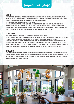# Important Stuff

#### **Minors**

Any guests under 18 years of age must have their parent/ legal guardian's supervision at all times and are restricted to movements within the function area only. Should a minor be found in other areas within the hotel unaccompanied, the minor and their parents/ legal guardians may be asked to leave the premise immediately.

All minors must vacate the premises no later than 10:00pm.

All minors attending a function must be outlined on the Minors Agreement form. In the instance, a minor is not on the submitted Minors Agreement form from the client, they may be denied entry along with their parents/ legal guardian. Beach House has zero-tolerance on underage drinking. Should a minor be found consuming alcohol the function may be shut down. Please consult our Functions Coordinator on any instance of a minor attending your event.

#### **Cancellations**

Written notification must be provided to the Functions Coordinator in all instances.

Notice outside 1 calendar month prior to the booking date, the deposit will be retained and held in trust for another date (for a six month period). Notice within 1 calendar month of the booking, 100% of the deposit will be retained. Notice within 14 days of the booking date 100% of the deposit will be retained and 100% of the agreed catering spend will be invoiced for payment within seven days. Any cancellation charged for third party items hired on behalf of the client is payable by the client. Change of date or postponement of the event booking will be treated as a cancellation at the discretion of your Functions Coordinator. Events booking in November/ December may have additional cancellation policies.

#### **Regulations**

Hotel Management and staff adhere to the laws governing the Responsible Service of Alcohol - Queensland Liquor Licensing Department. Patrons showing signs of undue intoxication or disorderly behaviour will be refused service and will be asked to leave the premises. Management has the right to exercise regulatory conditions at any time during a function if it is believed that the alcohol consumption rate is excessive.

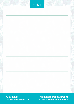| Notez |  |
|-------|--|
|       |  |
|       |  |
|       |  |
|       |  |
|       |  |
|       |  |
|       |  |
|       |  |
|       |  |
|       |  |
|       |  |
|       |  |

**+07 3801 2838 www.beachhousebargrill.com** +07 3420 0711 www.beachhousebargrill.com +07 3420 0711 www.beachhousebargrill.com

**facebook.com/BeachHouseloganholme** facebook.com/BeachHouseGC **loganholme@beachhousebargrill.com** t this Anhilit MF (WKF Al Hhilit facebook.com/BeachhouseLugaNholMe